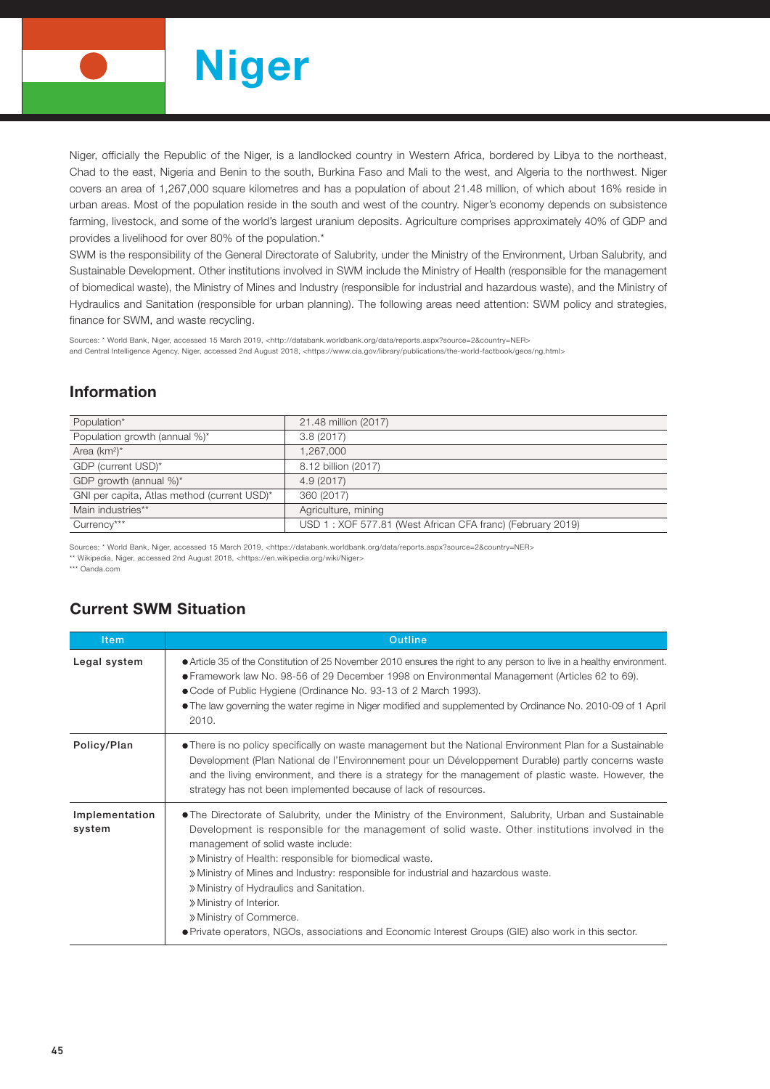

Niger, officially the Republic of the Niger, is a landlocked country in Western Africa, bordered by Libya to the northeast, Chad to the east, Nigeria and Benin to the south, Burkina Faso and Mali to the west, and Algeria to the northwest. Niger covers an area of 1,267,000 square kilometres and has a population of about 21.48 million, of which about 16% reside in urban areas. Most of the population reside in the south and west of the country. Niger's economy depends on subsistence farming, livestock, and some of the world's largest uranium deposits. Agriculture comprises approximately 40% of GDP and provides a livelihood for over 80% of the population.\*

SWM is the responsibility of the General Directorate of Salubrity, under the Ministry of the Environment, Urban Salubrity, and Sustainable Development. Other institutions involved in SWM include the Ministry of Health (responsible for the management of biomedical waste), the Ministry of Mines and Industry (responsible for industrial and hazardous waste), and the Ministry of Hydraulics and Sanitation (responsible for urban planning). The following areas need attention: SWM policy and strategies, finance for SWM, and waste recycling.

Sources: \* World Bank, Niger, accessed 15 March 2019, <http://databank.worldbank.org/data/reports.aspx?source=2&country=NER> and Central Intelligence Agency, Niger, accessed 2nd August 2018, <https://www.cia.gov/library/publications/the-world-factbook/geos/ng.html>

## Information

| Population*                                 | 21.48 million (2017)                                       |
|---------------------------------------------|------------------------------------------------------------|
| Population growth (annual %)*               | 3.8(2017)                                                  |
| Area $(km^2)^*$                             | 1.267.000                                                  |
| GDP (current USD)*                          | 8.12 billion (2017)                                        |
| GDP growth (annual %)*                      | 4.9 (2017)                                                 |
| GNI per capita, Atlas method (current USD)* | 360 (2017)                                                 |
| Main industries**                           | Agriculture, mining                                        |
| Currency***                                 | USD 1: XOF 577.81 (West African CFA franc) (February 2019) |
|                                             |                                                            |

Sources: \* World Bank, Niger, accessed 15 March 2019, <https://databank.worldbank.org/data/reports.aspx?source=2&country=NER>

\*\* Wikipedia, Niger, accessed 2nd August 2018, <https://en.wikipedia.org/wiki/Niger>

\*\*\* Oanda.com

## Current SWM Situation

| <b>Item</b>              | <b>Outline</b>                                                                                                                                                                                                                                                                                                                                                                                                                                                                                                                                                                                              |  |  |  |  |
|--------------------------|-------------------------------------------------------------------------------------------------------------------------------------------------------------------------------------------------------------------------------------------------------------------------------------------------------------------------------------------------------------------------------------------------------------------------------------------------------------------------------------------------------------------------------------------------------------------------------------------------------------|--|--|--|--|
| Legal system             | • Article 35 of the Constitution of 25 November 2010 ensures the right to any person to live in a healthy environment.<br>● Framework law No. 98-56 of 29 December 1998 on Environmental Management (Articles 62 to 69).<br>• Code of Public Hygiene (Ordinance No. 93-13 of 2 March 1993).<br>• The law governing the water regime in Niger modified and supplemented by Ordinance No. 2010-09 of 1 April<br>2010.                                                                                                                                                                                         |  |  |  |  |
| Policy/Plan              | • There is no policy specifically on waste management but the National Environment Plan for a Sustainable<br>Development (Plan National de l'Environnement pour un Développement Durable) partly concerns waste<br>and the living environment, and there is a strategy for the management of plastic waste. However, the<br>strategy has not been implemented because of lack of resources.                                                                                                                                                                                                                 |  |  |  |  |
| Implementation<br>system | • The Directorate of Salubrity, under the Ministry of the Environment, Salubrity, Urban and Sustainable<br>Development is responsible for the management of solid waste. Other institutions involved in the<br>management of solid waste include:<br>» Ministry of Health: responsible for biomedical waste.<br>» Ministry of Mines and Industry: responsible for industrial and hazardous waste.<br>» Ministry of Hydraulics and Sanitation.<br>» Ministry of Interior.<br>» Ministry of Commerce.<br>• Private operators, NGOs, associations and Economic Interest Groups (GIE) also work in this sector. |  |  |  |  |